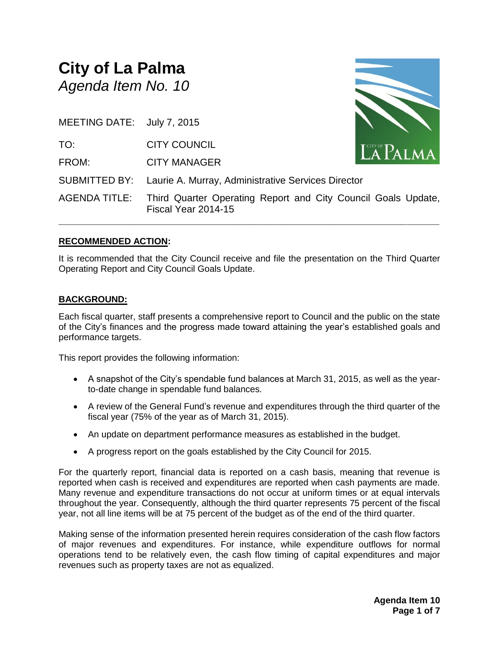# **City of La Palma** *Agenda Item No. 10*

| MEETING DATE: July 7, 2015 |                                                                                                    |                    |
|----------------------------|----------------------------------------------------------------------------------------------------|--------------------|
| TO:                        | <b>CITY COUNCIL</b>                                                                                | $\mathbf{LAPALMA}$ |
| FROM:                      | <b>CITY MANAGER</b>                                                                                |                    |
|                            | SUBMITTED BY: Laurie A. Murray, Administrative Services Director                                   |                    |
|                            | AGENDA TITLE: Third Quarter Operating Report and City Council Goals Update,<br>Fiscal Year 2014-15 |                    |

#### **RECOMMENDED ACTION:**

It is recommended that the City Council receive and file the presentation on the Third Quarter Operating Report and City Council Goals Update.

#### **BACKGROUND:**

Each fiscal quarter, staff presents a comprehensive report to Council and the public on the state of the City's finances and the progress made toward attaining the year's established goals and performance targets.

This report provides the following information:

- A snapshot of the City's spendable fund balances at March 31, 2015, as well as the yearto-date change in spendable fund balances.
- A review of the General Fund's revenue and expenditures through the third quarter of the fiscal year (75% of the year as of March 31, 2015).
- An update on department performance measures as established in the budget.
- A progress report on the goals established by the City Council for 2015.

For the quarterly report, financial data is reported on a cash basis, meaning that revenue is reported when cash is received and expenditures are reported when cash payments are made. Many revenue and expenditure transactions do not occur at uniform times or at equal intervals throughout the year. Consequently, although the third quarter represents 75 percent of the fiscal year, not all line items will be at 75 percent of the budget as of the end of the third quarter.

Making sense of the information presented herein requires consideration of the cash flow factors of major revenues and expenditures. For instance, while expenditure outflows for normal operations tend to be relatively even, the cash flow timing of capital expenditures and major revenues such as property taxes are not as equalized.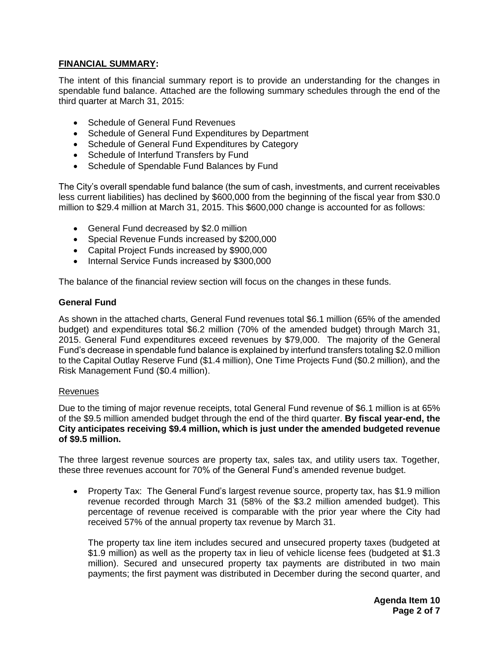#### **FINANCIAL SUMMARY:**

The intent of this financial summary report is to provide an understanding for the changes in spendable fund balance. Attached are the following summary schedules through the end of the third quarter at March 31, 2015:

- Schedule of General Fund Revenues
- Schedule of General Fund Expenditures by Department
- Schedule of General Fund Expenditures by Category
- Schedule of Interfund Transfers by Fund
- Schedule of Spendable Fund Balances by Fund

The City's overall spendable fund balance (the sum of cash, investments, and current receivables less current liabilities) has declined by \$600,000 from the beginning of the fiscal year from \$30.0 million to \$29.4 million at March 31, 2015. This \$600,000 change is accounted for as follows:

- General Fund decreased by \$2.0 million
- Special Revenue Funds increased by \$200,000
- Capital Project Funds increased by \$900,000
- Internal Service Funds increased by \$300,000

The balance of the financial review section will focus on the changes in these funds.

#### **General Fund**

As shown in the attached charts, General Fund revenues total \$6.1 million (65% of the amended budget) and expenditures total \$6.2 million (70% of the amended budget) through March 31, 2015. General Fund expenditures exceed revenues by \$79,000. The majority of the General Fund's decrease in spendable fund balance is explained by interfund transfers totaling \$2.0 million to the Capital Outlay Reserve Fund (\$1.4 million), One Time Projects Fund (\$0.2 million), and the Risk Management Fund (\$0.4 million).

#### Revenues

Due to the timing of major revenue receipts, total General Fund revenue of \$6.1 million is at 65% of the \$9.5 million amended budget through the end of the third quarter. **By fiscal year-end, the City anticipates receiving \$9.4 million, which is just under the amended budgeted revenue of \$9.5 million.**

The three largest revenue sources are property tax, sales tax, and utility users tax. Together, these three revenues account for 70% of the General Fund's amended revenue budget.

• Property Tax: The General Fund's largest revenue source, property tax, has \$1.9 million revenue recorded through March 31 (58% of the \$3.2 million amended budget). This percentage of revenue received is comparable with the prior year where the City had received 57% of the annual property tax revenue by March 31.

The property tax line item includes secured and unsecured property taxes (budgeted at \$1.9 million) as well as the property tax in lieu of vehicle license fees (budgeted at \$1.3 million). Secured and unsecured property tax payments are distributed in two main payments; the first payment was distributed in December during the second quarter, and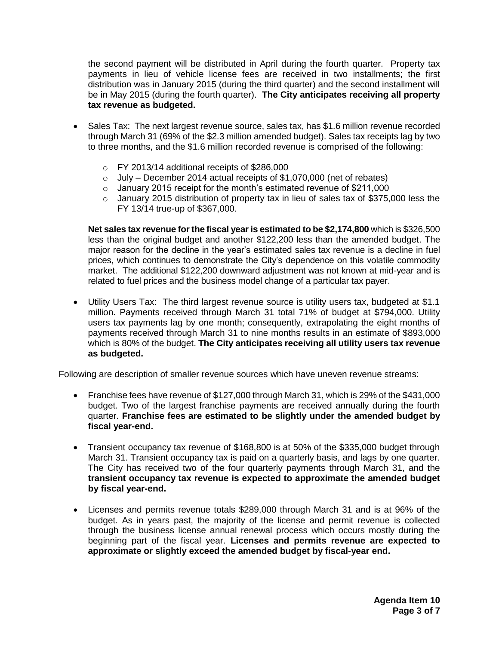the second payment will be distributed in April during the fourth quarter. Property tax payments in lieu of vehicle license fees are received in two installments; the first distribution was in January 2015 (during the third quarter) and the second installment will be in May 2015 (during the fourth quarter). **The City anticipates receiving all property tax revenue as budgeted.**

- Sales Tax: The next largest revenue source, sales tax, has \$1.6 million revenue recorded through March 31 (69% of the \$2.3 million amended budget). Sales tax receipts lag by two to three months, and the \$1.6 million recorded revenue is comprised of the following:
	- $\circ$  FY 2013/14 additional receipts of \$286,000
	- $\circ$  July December 2014 actual receipts of \$1,070,000 (net of rebates)
	- o January 2015 receipt for the month's estimated revenue of \$211,000
	- o January 2015 distribution of property tax in lieu of sales tax of \$375,000 less the FY 13/14 true-up of \$367,000.

**Net sales tax revenue for the fiscal year is estimated to be \$2,174,800** which is \$326,500 less than the original budget and another \$122,200 less than the amended budget. The major reason for the decline in the year's estimated sales tax revenue is a decline in fuel prices, which continues to demonstrate the City's dependence on this volatile commodity market. The additional \$122,200 downward adjustment was not known at mid-year and is related to fuel prices and the business model change of a particular tax payer.

 Utility Users Tax: The third largest revenue source is utility users tax, budgeted at \$1.1 million. Payments received through March 31 total 71% of budget at \$794,000. Utility users tax payments lag by one month; consequently, extrapolating the eight months of payments received through March 31 to nine months results in an estimate of \$893,000 which is 80% of the budget. **The City anticipates receiving all utility users tax revenue as budgeted.**

Following are description of smaller revenue sources which have uneven revenue streams:

- Franchise fees have revenue of \$127,000 through March 31, which is 29% of the \$431,000 budget. Two of the largest franchise payments are received annually during the fourth quarter. **Franchise fees are estimated to be slightly under the amended budget by fiscal year-end.**
- Transient occupancy tax revenue of \$168,800 is at 50% of the \$335,000 budget through March 31. Transient occupancy tax is paid on a quarterly basis, and lags by one quarter. The City has received two of the four quarterly payments through March 31, and the **transient occupancy tax revenue is expected to approximate the amended budget by fiscal year-end.**
- Licenses and permits revenue totals \$289,000 through March 31 and is at 96% of the budget. As in years past, the majority of the license and permit revenue is collected through the business license annual renewal process which occurs mostly during the beginning part of the fiscal year. **Licenses and permits revenue are expected to approximate or slightly exceed the amended budget by fiscal-year end.**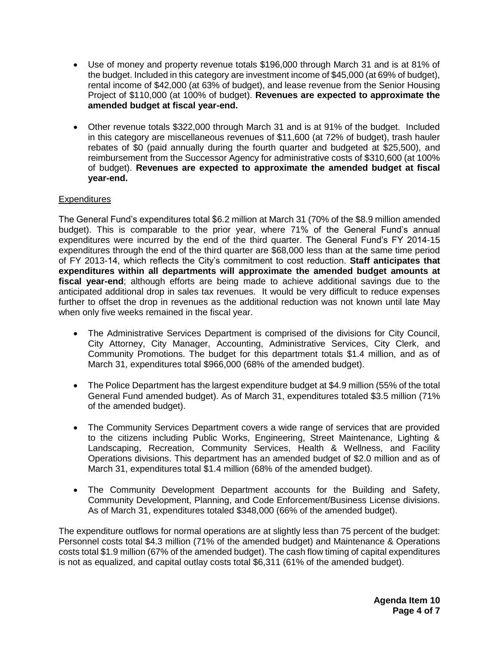- Use of money and property revenue totals \$196,000 through March 31 and is at 81% of the budget. Included in this category are investment income of \$45,000 (at 69% of budget), rental income of \$42,000 (at 63% of budget), and lease revenue from the Senior Housing Project of \$110,000 (at 100% of budget). **Revenues are expected to approximate the amended budget at fiscal year-end.**
- Other revenue totals \$322,000 through March 31 and is at 91% of the budget. Included in this category are miscellaneous revenues of \$11,600 (at 72% of budget), trash hauler rebates of \$0 (paid annually during the fourth quarter and budgeted at \$25,500), and reimbursement from the Successor Agency for administrative costs of \$310,600 (at 100% of budget). **Revenues are expected to approximate the amended budget at fiscal year-end.**

#### **Expenditures**

The General Fund's expenditures total \$6.2 million at March 31 (70% of the \$8.9 million amended budget). This is comparable to the prior year, where 71% of the General Fund's annual expenditures were incurred by the end of the third quarter. The General Fund's FY 2014-15 expenditures through the end of the third quarter are \$68,000 less than at the same time period of FY 2013-14, which reflects the City's commitment to cost reduction. **Staff anticipates that expenditures within all departments will approximate the amended budget amounts at fiscal year-end**; although efforts are being made to achieve additional savings due to the anticipated additional drop in sales tax revenues. It would be very difficult to reduce expenses further to offset the drop in revenues as the additional reduction was not known until late May when only five weeks remained in the fiscal year.

- The Administrative Services Department is comprised of the divisions for City Council, City Attorney, City Manager, Accounting, Administrative Services, City Clerk, and Community Promotions. The budget for this department totals \$1.4 million, and as of March 31, expenditures total \$966,000 (68% of the amended budget).
- The Police Department has the largest expenditure budget at \$4.9 million (55% of the total General Fund amended budget). As of March 31, expenditures totaled \$3.5 million (71% of the amended budget).
- The Community Services Department covers a wide range of services that are provided to the citizens including Public Works, Engineering, Street Maintenance, Lighting & Landscaping, Recreation, Community Services, Health & Wellness, and Facility Operations divisions. This department has an amended budget of \$2.0 million and as of March 31, expenditures total \$1.4 million (68% of the amended budget).
- The Community Development Department accounts for the Building and Safety, Community Development, Planning, and Code Enforcement/Business License divisions. As of March 31, expenditures totaled \$348,000 (66% of the amended budget).

The expenditure outflows for normal operations are at slightly less than 75 percent of the budget: Personnel costs total \$4.3 million (71% of the amended budget) and Maintenance & Operations costs total \$1.9 million (67% of the amended budget). The cash flow timing of capital expenditures is not as equalized, and capital outlay costs total \$6,311 (61% of the amended budget).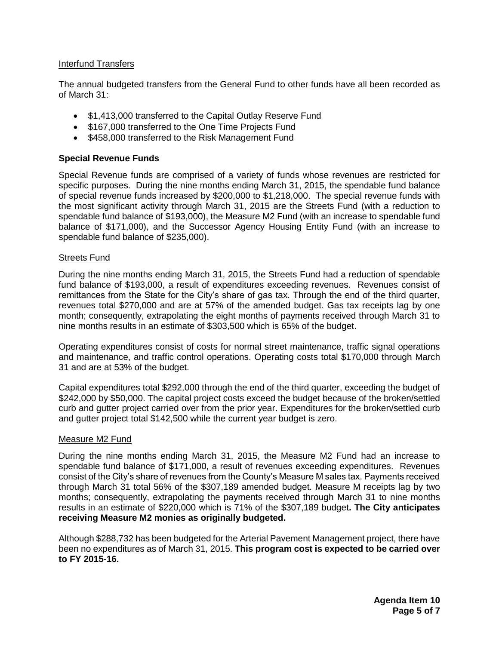#### Interfund Transfers

The annual budgeted transfers from the General Fund to other funds have all been recorded as of March 31:

- \$1,413,000 transferred to the Capital Outlay Reserve Fund
- \$167,000 transferred to the One Time Projects Fund
- \$458,000 transferred to the Risk Management Fund

#### **Special Revenue Funds**

Special Revenue funds are comprised of a variety of funds whose revenues are restricted for specific purposes. During the nine months ending March 31, 2015, the spendable fund balance of special revenue funds increased by \$200,000 to \$1,218,000. The special revenue funds with the most significant activity through March 31, 2015 are the Streets Fund (with a reduction to spendable fund balance of \$193,000), the Measure M2 Fund (with an increase to spendable fund balance of \$171,000), and the Successor Agency Housing Entity Fund (with an increase to spendable fund balance of \$235,000).

#### Streets Fund

During the nine months ending March 31, 2015, the Streets Fund had a reduction of spendable fund balance of \$193,000, a result of expenditures exceeding revenues. Revenues consist of remittances from the State for the City's share of gas tax. Through the end of the third quarter, revenues total \$270,000 and are at 57% of the amended budget. Gas tax receipts lag by one month; consequently, extrapolating the eight months of payments received through March 31 to nine months results in an estimate of \$303,500 which is 65% of the budget.

Operating expenditures consist of costs for normal street maintenance, traffic signal operations and maintenance, and traffic control operations. Operating costs total \$170,000 through March 31 and are at 53% of the budget.

Capital expenditures total \$292,000 through the end of the third quarter, exceeding the budget of \$242,000 by \$50,000. The capital project costs exceed the budget because of the broken/settled curb and gutter project carried over from the prior year. Expenditures for the broken/settled curb and gutter project total \$142,500 while the current year budget is zero.

#### Measure M2 Fund

During the nine months ending March 31, 2015, the Measure M2 Fund had an increase to spendable fund balance of \$171,000, a result of revenues exceeding expenditures. Revenues consist of the City's share of revenues from the County's Measure M sales tax. Payments received through March 31 total 56% of the \$307,189 amended budget. Measure M receipts lag by two months; consequently, extrapolating the payments received through March 31 to nine months results in an estimate of \$220,000 which is 71% of the \$307,189 budget**. The City anticipates receiving Measure M2 monies as originally budgeted.**

Although \$288,732 has been budgeted for the Arterial Pavement Management project, there have been no expenditures as of March 31, 2015. **This program cost is expected to be carried over to FY 2015-16.**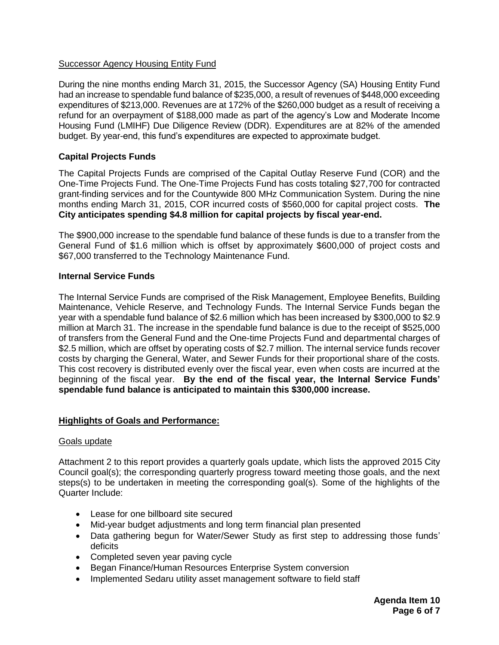#### Successor Agency Housing Entity Fund

During the nine months ending March 31, 2015, the Successor Agency (SA) Housing Entity Fund had an increase to spendable fund balance of \$235,000, a result of revenues of \$448,000 exceeding expenditures of \$213,000. Revenues are at 172% of the \$260,000 budget as a result of receiving a refund for an overpayment of \$188,000 made as part of the agency's Low and Moderate Income Housing Fund (LMIHF) Due Diligence Review (DDR). Expenditures are at 82% of the amended budget. By year-end, this fund's expenditures are expected to approximate budget.

#### **Capital Projects Funds**

The Capital Projects Funds are comprised of the Capital Outlay Reserve Fund (COR) and the One-Time Projects Fund. The One-Time Projects Fund has costs totaling \$27,700 for contracted grant-finding services and for the Countywide 800 MHz Communication System. During the nine months ending March 31, 2015, COR incurred costs of \$560,000 for capital project costs. **The City anticipates spending \$4.8 million for capital projects by fiscal year-end.**

The \$900,000 increase to the spendable fund balance of these funds is due to a transfer from the General Fund of \$1.6 million which is offset by approximately \$600,000 of project costs and \$67,000 transferred to the Technology Maintenance Fund.

#### **Internal Service Funds**

The Internal Service Funds are comprised of the Risk Management, Employee Benefits, Building Maintenance, Vehicle Reserve, and Technology Funds. The Internal Service Funds began the year with a spendable fund balance of \$2.6 million which has been increased by \$300,000 to \$2.9 million at March 31. The increase in the spendable fund balance is due to the receipt of \$525,000 of transfers from the General Fund and the One-time Projects Fund and departmental charges of \$2.5 million, which are offset by operating costs of \$2.7 million. The internal service funds recover costs by charging the General, Water, and Sewer Funds for their proportional share of the costs. This cost recovery is distributed evenly over the fiscal year, even when costs are incurred at the beginning of the fiscal year. **By the end of the fiscal year, the Internal Service Funds' spendable fund balance is anticipated to maintain this \$300,000 increase.**

#### **Highlights of Goals and Performance:**

#### Goals update

Attachment 2 to this report provides a quarterly goals update, which lists the approved 2015 City Council goal(s); the corresponding quarterly progress toward meeting those goals, and the next steps(s) to be undertaken in meeting the corresponding goal(s). Some of the highlights of the Quarter Include:

- Lease for one billboard site secured
- Mid-year budget adjustments and long term financial plan presented
- Data gathering begun for Water/Sewer Study as first step to addressing those funds' deficits
- Completed seven year paving cycle
- Began Finance/Human Resources Enterprise System conversion
- Implemented Sedaru utility asset management software to field staff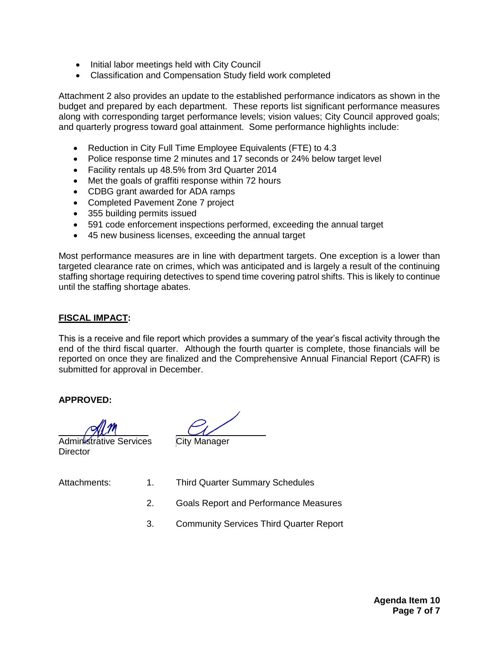- Initial labor meetings held with City Council
- Classification and Compensation Study field work completed

Attachment 2 also provides an update to the established performance indicators as shown in the budget and prepared by each department. These reports list significant performance measures along with corresponding target performance levels; vision values; City Council approved goals; and quarterly progress toward goal attainment. Some performance highlights include:

- Reduction in City Full Time Employee Equivalents (FTE) to 4.3
- Police response time 2 minutes and 17 seconds or 24% below target level
- Facility rentals up 48.5% from 3rd Quarter 2014
- Met the goals of graffiti response within 72 hours
- CDBG grant awarded for ADA ramps
- Completed Pavement Zone 7 project
- 355 building permits issued
- 591 code enforcement inspections performed, exceeding the annual target
- 45 new business licenses, exceeding the annual target

Most performance measures are in line with department targets. One exception is a lower than targeted clearance rate on crimes, which was anticipated and is largely a result of the continuing staffing shortage requiring detectives to spend time covering patrol shifts. This is likely to continue until the staffing shortage abates.

#### **FISCAL IMPACT:**

This is a receive and file report which provides a summary of the year's fiscal activity through the end of the third fiscal quarter. Although the fourth quarter is complete, those financials will be reported on once they are finalized and the Comprehensive Annual Financial Report (CAFR) is submitted for approval in December.

#### **APPROVED:**

Administrative Services City Manager **Director** 

- Attachments: 1. Third Quarter Summary Schedules
	- 2. Goals Report and Performance Measures
	- 3. Community Services Third Quarter Report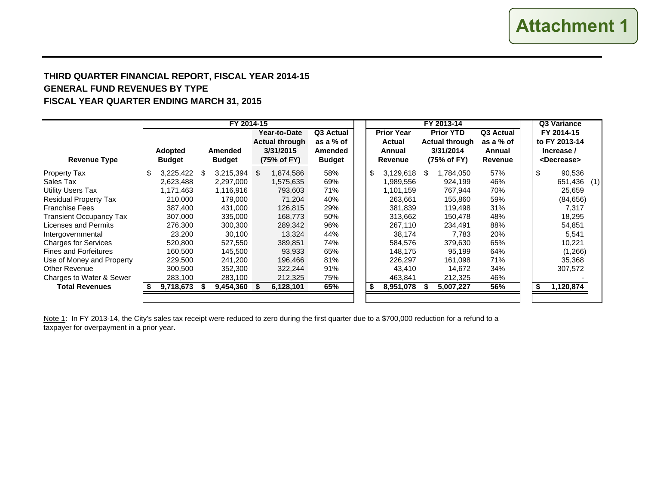## **THIRD QUARTER FINANCIAL REPORT, FISCAL YEAR 2014-15 GENERAL FUND REVENUES BY TYPE FISCAL YEAR QUARTER ENDING MARCH 31, 2015**

|                                |                                 | FY 2014-15                      |      |                                    |                          |    |                   |   | FY 2013-14               |                   | Q3 Variance |    |                                     |     |
|--------------------------------|---------------------------------|---------------------------------|------|------------------------------------|--------------------------|----|-------------------|---|--------------------------|-------------------|-------------|----|-------------------------------------|-----|
|                                |                                 |                                 |      | Year-to-Date                       | Q3 Actual                |    | <b>Prior Year</b> |   | <b>Prior YTD</b>         | Q3 Actual         |             |    | FY 2014-15                          |     |
|                                |                                 |                                 |      | <b>Actual through</b>              | as a % of                |    | Actual            |   | <b>Actual through</b>    | as a % of         |             |    | to FY 2013-14                       |     |
| <b>Revenue Type</b>            | <b>Adopted</b><br><b>Budget</b> | <b>Amended</b><br><b>Budget</b> |      | 3/31/2015<br>$(75% \text{ of FY})$ | Amended<br><b>Budget</b> |    | Annual<br>Revenue |   | 3/31/2014<br>(75% of FY) | Annual<br>Revenue |             |    | Increase /<br><decrease></decrease> |     |
|                                |                                 |                                 |      |                                    |                          |    |                   |   |                          |                   |             |    |                                     |     |
| <b>Property Tax</b>            | \$<br>3,225,422                 | \$<br>3,215,394                 | - \$ | 1,874,586                          | 58%                      | \$ | 3,129,618         | S | 1,784,050                | 57%               |             | \$ | 90,536                              |     |
| Sales Tax                      | 2,623,488                       | 2,297,000                       |      | 1,575,635                          | 69%                      |    | 1,989,556         |   | 924,199                  | 46%               |             |    | 651,436                             | (1) |
| <b>Utility Users Tax</b>       | 1,171,463                       | 1,116,916                       |      | 793,603                            | 71%                      |    | 1,101,159         |   | 767,944                  | 70%               |             |    | 25,659                              |     |
| <b>Residual Property Tax</b>   | 210,000                         | 179,000                         |      | 71.204                             | 40%                      |    | 263,661           |   | 155.860                  | 59%               |             |    | (84, 656)                           |     |
| <b>Franchise Fees</b>          | 387,400                         | 431,000                         |      | 126,815                            | 29%                      |    | 381,839           |   | 119,498                  | 31%               |             |    | 7,317                               |     |
| <b>Transient Occupancy Tax</b> | 307,000                         | 335,000                         |      | 168,773                            | 50%                      |    | 313,662           |   | 150,478                  | 48%               |             |    | 18,295                              |     |
| Licenses and Permits           | 276,300                         | 300,300                         |      | 289,342                            | 96%                      |    | 267,110           |   | 234,491                  | 88%               |             |    | 54,851                              |     |
| Intergovernmental              | 23,200                          | 30,100                          |      | 13,324                             | 44%                      |    | 38,174            |   | 7,783                    | 20%               |             |    | 5,541                               |     |
| <b>Charges for Services</b>    | 520,800                         | 527,550                         |      | 389.851                            | 74%                      |    | 584.576           |   | 379.630                  | 65%               |             |    | 10,221                              |     |
| <b>Fines and Forfeitures</b>   | 160,500                         | 145,500                         |      | 93,933                             | 65%                      |    | 148,175           |   | 95,199                   | 64%               |             |    | (1,266)                             |     |
| Use of Money and Property      | 229,500                         | 241.200                         |      | 196.466                            | 81%                      |    | 226,297           |   | 161,098                  | 71%               |             |    | 35,368                              |     |
| <b>Other Revenue</b>           | 300,500                         | 352,300                         |      | 322,244                            | 91%                      |    | 43,410            |   | 14,672                   | 34%               |             |    | 307,572                             |     |
| Charges to Water & Sewer       | 283,100                         | 283,100                         |      | 212,325                            | 75%                      |    | 463,841           |   | 212,325                  | 46%               |             |    |                                     |     |
| <b>Total Revenues</b>          | 9,718,673                       | 9,454,360                       |      | 6,128,101                          | 65%                      | S  | 8,951,078         |   | 5,007,227                | 56%               |             | \$ | 1,120,874                           |     |
|                                |                                 |                                 |      |                                    |                          |    |                   |   |                          |                   |             |    |                                     |     |

Note 1: In FY 2013-14, the City's sales tax receipt were reduced to zero during the first quarter due to a \$700,000 reduction for a refund to a taxpayer for overpayment in a prior year.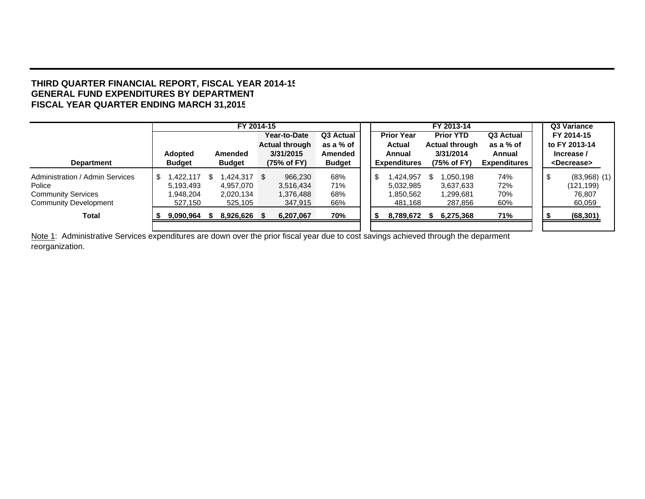#### **THIRD QUARTER FINANCIAL REPORT, FISCAL YEAR 2014-1 5 GENERAL FUND EXPENDITURES BY DEPARTMENTFISCAL YEAR QUARTER ENDING MARCH 31,201 5**

|                                 |     |                | FY 2014-15    |                       |               | FY 2013-14 |                     |  |                       |                     |  | Q3 Variance            |
|---------------------------------|-----|----------------|---------------|-----------------------|---------------|------------|---------------------|--|-----------------------|---------------------|--|------------------------|
|                                 |     |                |               | Year-to-Date          | Q3 Actual     |            | <b>Prior Year</b>   |  | <b>Prior YTD</b>      | Q3 Actual           |  | FY 2014-15             |
|                                 |     |                |               | <b>Actual through</b> | as a % of     |            | <b>Actual</b>       |  | <b>Actual through</b> | as a % of           |  | to FY 2013-14          |
|                                 |     | <b>Adopted</b> | Amended       | 3/31/2015             | Amended       |            | Annual              |  | 3/31/2014             | Annual              |  | Increase /             |
| <b>Department</b>               |     | <b>Budget</b>  | <b>Budget</b> | (75% of FY)           | <b>Budget</b> |            | <b>Expenditures</b> |  | (75% of FY)           | <b>Expenditures</b> |  | <decrease></decrease>  |
| Administration / Admin Services | \$. | 1,422,117      | \$424,317     | 966,230               | 68%           | \$         | ,424,957            |  | 1.050.198             | 74%                 |  | \$<br>$(83,968)$ $(1)$ |
| Police                          |     | 5,193,493      | 4.957.070     | 3,516,434             | 71%           |            | 5,032,985           |  | 3,637,633             | 72%                 |  | (121, 199)             |
| <b>Community Services</b>       |     | 1,948,204      | 2,020,134     | 1,376,488             | 68%           |            | 1,850,562           |  | 1,299,681             | 70%                 |  | 76.807                 |
| <b>Community Development</b>    |     | 527.150        | 525,105       | 347.915               | 66%           |            | 481.168             |  | 287,856               | 60%                 |  | 60,059                 |
| Total                           |     | 9,090,964      | 8,926,626 \$  | 6,207,067             | 70%           | ж          | 8,789,672           |  | 6,275,368             | 71%                 |  | (68, 301)              |
|                                 |     |                |               |                       |               |            |                     |  |                       |                     |  |                        |

Note 1: Administrative Services expenditures are down over the prior fiscal year due to cost savings achieved through the deparment reorganization.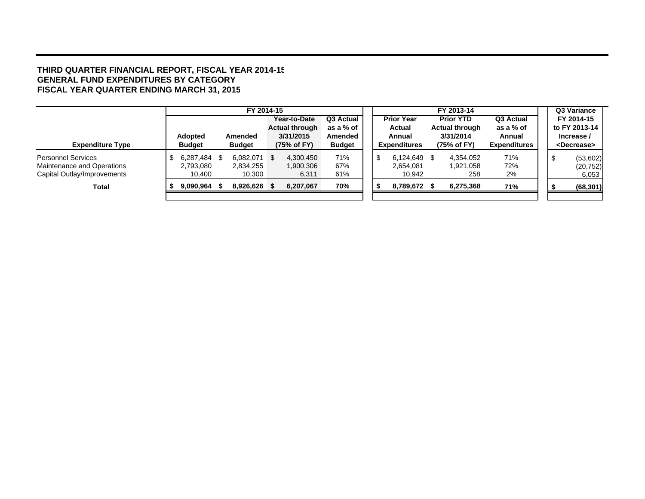#### **THIRD QUARTER FINANCIAL REPORT, FISCAL YEAR 2014-1 5 GENERAL FUND EXPENDITURES BY CATEGOR Y FISCAL YEAR QUARTER ENDING MARCH 31, 201 5**

|                             |                |      | FY 2014-15    |     |                       |               |  |                     |      | FY 2013-14            |                     |  | Q3 Variance           |
|-----------------------------|----------------|------|---------------|-----|-----------------------|---------------|--|---------------------|------|-----------------------|---------------------|--|-----------------------|
|                             |                |      |               |     | Year-to-Date          | Q3 Actual     |  | <b>Prior Year</b>   |      | <b>Prior YTD</b>      | Q3 Actual           |  | FY 2014-15            |
|                             |                |      |               |     | <b>Actual through</b> | as a % of     |  | <b>Actual</b>       |      | <b>Actual through</b> | as a % of           |  | to FY 2013-14         |
|                             | <b>Adopted</b> |      | Amended       |     | 3/31/2015             | Amended       |  | Annual              |      | 3/31/2014             | Annual              |  | Increase /            |
| <b>Expenditure Type</b>     | <b>Budget</b>  |      | <b>Budget</b> |     | (75% of FY)           | <b>Budget</b> |  | <b>Expenditures</b> |      | (75% of FY)           | <b>Expenditures</b> |  | <decrease></decrease> |
| <b>Personnel Services</b>   | 6,287,484      | - \$ | 6,082,071     | - S | 4,300,450             | 71%           |  | 6.124.649           | - \$ | 4.354.052             | 71%                 |  | (53,602)              |
| Maintenance and Operations  | 2,793,080      |      | 2,834,255     |     | 1,900,306             | 67%           |  | 2,654,081           |      | 1,921,058             | 72%                 |  | (20, 752)             |
| Capital Outlay/Improvements | 10,400         |      | 10,300        |     | 6,311                 | 61%           |  | 10,942              |      | 258                   | 2%                  |  | 6,053                 |
| Total                       | 9,090,964      |      | 8,926,626     |     | 6,207,067             | 70%           |  | 8,789,672           |      | 6,275,368             | 71%                 |  | (68, 301)             |
|                             |                |      |               |     |                       |               |  |                     |      |                       |                     |  |                       |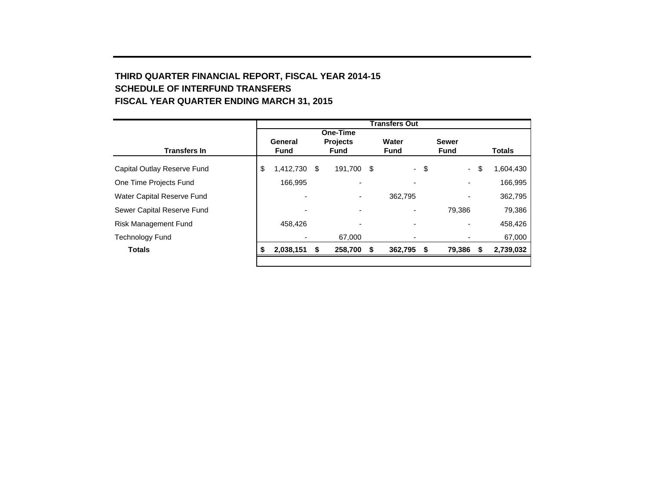## **THIRD QUARTER FINANCIAL REPORT, FISCAL YEAR 2014-15 SCHEDULE OF INTERFUND TRANSFERS FISCAL YEAR QUARTER ENDING MARCH 31, 2015**

|                             | <b>Transfers Out</b> |                          |     |                          |   |             |        |                          |    |               |  |  |  |  |
|-----------------------------|----------------------|--------------------------|-----|--------------------------|---|-------------|--------|--------------------------|----|---------------|--|--|--|--|
|                             |                      |                          |     |                          |   |             |        |                          |    |               |  |  |  |  |
|                             |                      | General                  |     | <b>Projects</b>          |   | Water       |        | <b>Sewer</b>             |    |               |  |  |  |  |
| <b>Transfers In</b>         |                      | <b>Fund</b>              |     | <b>Fund</b>              |   | <b>Fund</b> |        | <b>Fund</b>              |    | <b>Totals</b> |  |  |  |  |
| Capital Outlay Reserve Fund | \$                   | 1,412,730                | -\$ | 191,700 \$               |   |             | $-$ \$ | $\sim$                   | \$ | 1,604,430     |  |  |  |  |
| One Time Projects Fund      |                      | 166,995                  |     |                          |   | ۰           |        |                          |    | 166,995       |  |  |  |  |
| Water Capital Reserve Fund  |                      | ۰                        |     | -                        |   | 362,795     |        | $\overline{\phantom{0}}$ |    | 362,795       |  |  |  |  |
| Sewer Capital Reserve Fund  |                      | $\overline{\phantom{0}}$ |     | $\overline{\phantom{0}}$ |   |             |        | 79,386                   |    | 79,386        |  |  |  |  |
| Risk Management Fund        |                      | 458,426                  |     | $\overline{\phantom{0}}$ |   | ٠           |        |                          |    | 458,426       |  |  |  |  |
| Technology Fund             |                      |                          |     | 67,000                   |   |             |        |                          |    | 67,000        |  |  |  |  |
| <b>Totals</b>               |                      | 2,038,151                | \$  | 258,700                  | S | 362,795     | -\$    | 79,386                   | S  | 2,739,032     |  |  |  |  |
|                             |                      |                          |     |                          |   |             |        |                          |    |               |  |  |  |  |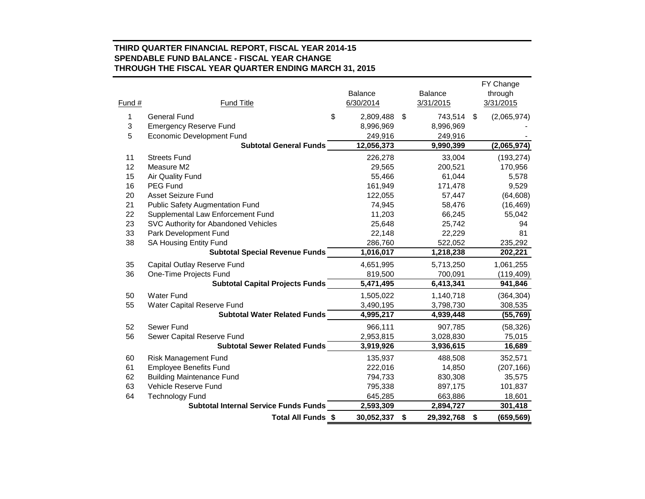#### **THIRD QUARTER FINANCIAL REPORT, FISCAL YEAR 2014-15 SPENDABLE FUND BALANCE - FISCAL YEAR CHANGE THROUGH THE FISCAL YEAR QUARTER ENDING MARCH 31, 2015**

| Fund # | <b>Fund Title</b>                            | <b>Balance</b><br>6/30/2014 | <b>Balance</b><br>3/31/2015 | FY Change<br>through<br>3/31/2015 |
|--------|----------------------------------------------|-----------------------------|-----------------------------|-----------------------------------|
| 1      | <b>General Fund</b>                          | \$<br>2,809,488             | \$<br>743,514               | \$<br>(2,065,974)                 |
| 3      | <b>Emergency Reserve Fund</b>                | 8,996,969                   | 8,996,969                   |                                   |
| 5      | <b>Economic Development Fund</b>             | 249,916                     | 249,916                     |                                   |
|        | <b>Subtotal General Funds</b>                | 12,056,373                  | 9,990,399                   | (2,065,974)                       |
| 11     | <b>Streets Fund</b>                          | 226,278                     | 33,004                      | (193, 274)                        |
| 12     | Measure M2                                   | 29,565                      | 200,521                     | 170,956                           |
| 15     | Air Quality Fund                             | 55,466                      | 61,044                      | 5,578                             |
| 16     | <b>PEG Fund</b>                              | 161,949                     | 171,478                     | 9,529                             |
| 20     | <b>Asset Seizure Fund</b>                    | 122,055                     | 57,447                      | (64, 608)                         |
| 21     | <b>Public Safety Augmentation Fund</b>       | 74,945                      | 58,476                      | (16, 469)                         |
| 22     | Supplemental Law Enforcement Fund            | 11,203                      | 66,245                      | 55,042                            |
| 23     | SVC Authority for Abandoned Vehicles         | 25,648                      | 25,742                      | 94                                |
| 33     | Park Development Fund                        | 22,148                      | 22,229                      | 81                                |
| 38     | SA Housing Entity Fund                       | 286,760                     | 522,052                     | 235,292                           |
|        | <b>Subtotal Special Revenue Funds</b>        | 1,016,017                   | 1,218,238                   | 202,221                           |
| 35     | Capital Outlay Reserve Fund                  | 4,651,995                   | 5,713,250                   | 1,061,255                         |
| 36     | One-Time Projects Fund                       | 819,500                     | 700,091                     | (119, 409)                        |
|        | <b>Subtotal Capital Projects Funds</b>       | 5,471,495                   | 6,413,341                   | 941,846                           |
| 50     | <b>Water Fund</b>                            | 1,505,022                   | 1,140,718                   | (364, 304)                        |
| 55     | Water Capital Reserve Fund                   | 3,490,195                   | 3,798,730                   | 308,535                           |
|        | <b>Subtotal Water Related Funds</b>          | 4,995,217                   | 4,939,448                   | (55, 769)                         |
| 52     | Sewer Fund                                   | 966,111                     | 907,785                     | (58, 326)                         |
| 56     | Sewer Capital Reserve Fund                   | 2,953,815                   | 3,028,830                   | 75,015                            |
|        | <b>Subtotal Sewer Related Funds</b>          | 3,919,926                   | 3,936,615                   | 16,689                            |
| 60     | <b>Risk Management Fund</b>                  | 135,937                     | 488,508                     | 352,571                           |
| 61     | <b>Employee Benefits Fund</b>                | 222,016                     | 14,850                      | (207, 166)                        |
| 62     | <b>Building Maintenance Fund</b>             | 794,733                     | 830,308                     | 35,575                            |
| 63     | Vehicle Reserve Fund                         | 795,338                     | 897,175                     | 101,837                           |
| 64     | <b>Technology Fund</b>                       | 645,285                     | 663,886                     | 18,601                            |
|        | <b>Subtotal Internal Service Funds Funds</b> | 2,593,309                   | 2,894,727                   | 301,418                           |
|        | Total All Funds \$                           | 30,052,337                  | \$<br>29,392,768            | \$<br>(659, 569)                  |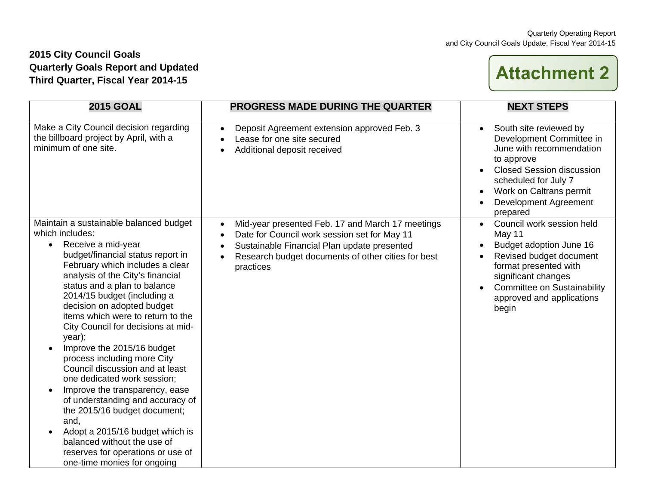## **2015 City Council Goals Quarterly Goals Report and Updated Third Quarter, Fiscal Year 2014-15**

# **Attachment 2**

| <b>2015 GOAL</b>                                                                                                                                                                                                                                                                                                                                                                                                                                                                                                                                                                                                                                                                                                                                                              | <b>PROGRESS MADE DURING THE QUARTER</b>                                                                                                                                                                                                                   | <b>NEXT STEPS</b>                                                                                                                                                                                                                                  |
|-------------------------------------------------------------------------------------------------------------------------------------------------------------------------------------------------------------------------------------------------------------------------------------------------------------------------------------------------------------------------------------------------------------------------------------------------------------------------------------------------------------------------------------------------------------------------------------------------------------------------------------------------------------------------------------------------------------------------------------------------------------------------------|-----------------------------------------------------------------------------------------------------------------------------------------------------------------------------------------------------------------------------------------------------------|----------------------------------------------------------------------------------------------------------------------------------------------------------------------------------------------------------------------------------------------------|
| Make a City Council decision regarding<br>the billboard project by April, with a<br>minimum of one site.                                                                                                                                                                                                                                                                                                                                                                                                                                                                                                                                                                                                                                                                      | Deposit Agreement extension approved Feb. 3<br>$\bullet$<br>Lease for one site secured<br>$\bullet$<br>Additional deposit received                                                                                                                        | South site reviewed by<br>$\bullet$<br>Development Committee in<br>June with recommendation<br>to approve<br><b>Closed Session discussion</b><br>scheduled for July 7<br>Work on Caltrans permit<br>$\bullet$<br>Development Agreement<br>prepared |
| Maintain a sustainable balanced budget<br>which includes:<br>Receive a mid-year<br>budget/financial status report in<br>February which includes a clear<br>analysis of the City's financial<br>status and a plan to balance<br>2014/15 budget (including a<br>decision on adopted budget<br>items which were to return to the<br>City Council for decisions at mid-<br>year);<br>Improve the 2015/16 budget<br>process including more City<br>Council discussion and at least<br>one dedicated work session;<br>Improve the transparency, ease<br>$\bullet$<br>of understanding and accuracy of<br>the 2015/16 budget document;<br>and,<br>Adopt a 2015/16 budget which is<br>balanced without the use of<br>reserves for operations or use of<br>one-time monies for ongoing | Mid-year presented Feb. 17 and March 17 meetings<br>$\bullet$<br>Date for Council work session set for May 11<br>$\bullet$<br>Sustainable Financial Plan update presented<br>$\bullet$<br>Research budget documents of other cities for best<br>practices | Council work session held<br>May 11<br>Budget adoption June 16<br>Revised budget document<br>format presented with<br>significant changes<br><b>Committee on Sustainability</b><br>approved and applications<br>begin                              |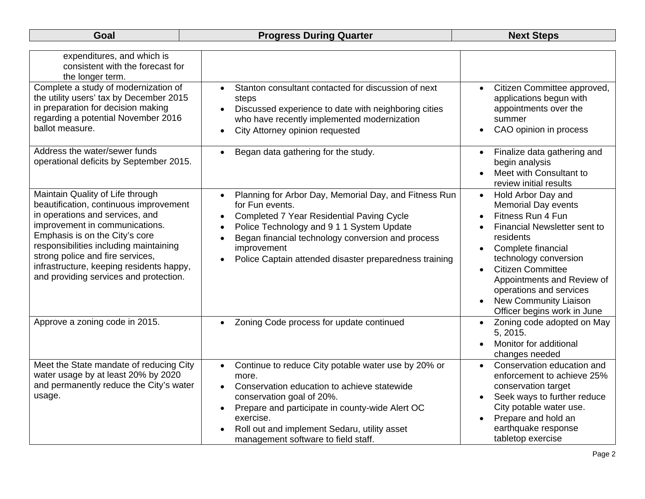| expenditures, and which is<br>consistent with the forecast for<br>the longer term.                                                                                                                                                                                                                                                                    |                                                                                                                                                                                                                                                                                                                                                                          |                                                                                                                                                                                                                                                                                                                                                        |
|-------------------------------------------------------------------------------------------------------------------------------------------------------------------------------------------------------------------------------------------------------------------------------------------------------------------------------------------------------|--------------------------------------------------------------------------------------------------------------------------------------------------------------------------------------------------------------------------------------------------------------------------------------------------------------------------------------------------------------------------|--------------------------------------------------------------------------------------------------------------------------------------------------------------------------------------------------------------------------------------------------------------------------------------------------------------------------------------------------------|
| Complete a study of modernization of<br>the utility users' tax by December 2015<br>in preparation for decision making<br>regarding a potential November 2016<br>ballot measure.                                                                                                                                                                       | Stanton consultant contacted for discussion of next<br>$\bullet$<br>steps<br>Discussed experience to date with neighboring cities<br>$\bullet$<br>who have recently implemented modernization<br>City Attorney opinion requested<br>$\bullet$                                                                                                                            | Citizen Committee approved,<br>$\bullet$<br>applications begun with<br>appointments over the<br>summer<br>CAO opinion in process<br>$\bullet$                                                                                                                                                                                                          |
| Address the water/sewer funds<br>operational deficits by September 2015.                                                                                                                                                                                                                                                                              | Began data gathering for the study.<br>$\bullet$                                                                                                                                                                                                                                                                                                                         | Finalize data gathering and<br>$\bullet$<br>begin analysis<br>Meet with Consultant to<br>review initial results                                                                                                                                                                                                                                        |
| Maintain Quality of Life through<br>beautification, continuous improvement<br>in operations and services, and<br>improvement in communications.<br>Emphasis is on the City's core<br>responsibilities including maintaining<br>strong police and fire services,<br>infrastructure, keeping residents happy,<br>and providing services and protection. | Planning for Arbor Day, Memorial Day, and Fitness Run<br>$\bullet$<br>for Fun events.<br><b>Completed 7 Year Residential Paving Cycle</b><br>$\bullet$<br>Police Technology and 9 1 1 System Update<br>$\bullet$<br>Began financial technology conversion and process<br>$\bullet$<br>improvement<br>Police Captain attended disaster preparedness training<br>$\bullet$ | Hold Arbor Day and<br>$\bullet$<br><b>Memorial Day events</b><br>Fitness Run 4 Fun<br><b>Financial Newsletter sent to</b><br>residents<br>Complete financial<br>technology conversion<br><b>Citizen Committee</b><br>$\bullet$<br>Appointments and Review of<br>operations and services<br><b>New Community Liaison</b><br>Officer begins work in June |
| Approve a zoning code in 2015.                                                                                                                                                                                                                                                                                                                        | Zoning Code process for update continued                                                                                                                                                                                                                                                                                                                                 | Zoning code adopted on May<br>$\bullet$<br>5, 2015.<br>Monitor for additional<br>changes needed                                                                                                                                                                                                                                                        |
| Meet the State mandate of reducing City<br>water usage by at least 20% by 2020<br>and permanently reduce the City's water<br>usage.                                                                                                                                                                                                                   | Continue to reduce City potable water use by 20% or<br>$\bullet$<br>more.<br>Conservation education to achieve statewide<br>$\bullet$<br>conservation goal of 20%.<br>Prepare and participate in county-wide Alert OC<br>$\bullet$<br>exercise.<br>Roll out and implement Sedaru, utility asset<br>management software to field staff.                                   | Conservation education and<br>enforcement to achieve 25%<br>conservation target<br>Seek ways to further reduce<br>City potable water use.<br>Prepare and hold an<br>earthquake response<br>tabletop exercise                                                                                                                                           |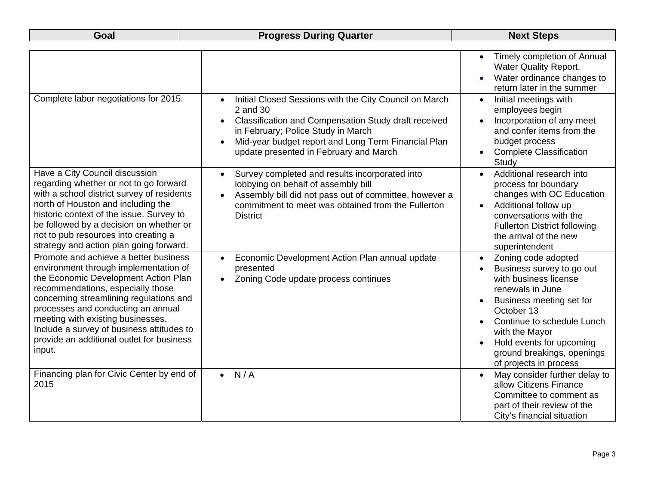## **Goal Research Progress During Quarter Coal Rext Steps in the Next Steps**

|                                                                                                                                                                                                                                                                                                                                                                                       |                                                                                                                                                                                                                                                                                             | Timely completion of Annual<br>$\bullet$<br><b>Water Quality Report.</b><br>Water ordinance changes to<br>return later in the summer                                                                                                                                                                  |
|---------------------------------------------------------------------------------------------------------------------------------------------------------------------------------------------------------------------------------------------------------------------------------------------------------------------------------------------------------------------------------------|---------------------------------------------------------------------------------------------------------------------------------------------------------------------------------------------------------------------------------------------------------------------------------------------|-------------------------------------------------------------------------------------------------------------------------------------------------------------------------------------------------------------------------------------------------------------------------------------------------------|
| Complete labor negotiations for 2015.                                                                                                                                                                                                                                                                                                                                                 | Initial Closed Sessions with the City Council on March<br>2 and 30<br>Classification and Compensation Study draft received<br>$\bullet$<br>in February; Police Study in March<br>Mid-year budget report and Long Term Financial Plan<br>$\bullet$<br>update presented in February and March | Initial meetings with<br>employees begin<br>Incorporation of any meet<br>and confer items from the<br>budget process<br><b>Complete Classification</b><br>$\bullet$<br>Study                                                                                                                          |
| Have a City Council discussion<br>regarding whether or not to go forward<br>with a school district survey of residents<br>north of Houston and including the<br>historic context of the issue. Survey to<br>be followed by a decision on whether or<br>not to pub resources into creating a<br>strategy and action plan going forward.                                                | Survey completed and results incorporated into<br>$\bullet$<br>lobbying on behalf of assembly bill<br>Assembly bill did not pass out of committee, however a<br>commitment to meet was obtained from the Fullerton<br><b>District</b>                                                       | Additional research into<br>$\bullet$<br>process for boundary<br>changes with OC Education<br>Additional follow up<br>conversations with the<br><b>Fullerton District following</b><br>the arrival of the new<br>superintendent                                                                       |
| Promote and achieve a better business<br>environment through implementation of<br>the Economic Development Action Plan<br>recommendations, especially those<br>concerning streamlining regulations and<br>processes and conducting an annual<br>meeting with existing businesses.<br>Include a survey of business attitudes to<br>provide an additional outlet for business<br>input. | Economic Development Action Plan annual update<br>$\bullet$<br>presented<br>Zoning Code update process continues<br>$\bullet$                                                                                                                                                               | Zoning code adopted<br>$\bullet$<br>Business survey to go out<br>with business license<br>renewals in June<br>Business meeting set for<br>October 13<br>Continue to schedule Lunch<br>with the Mayor<br>Hold events for upcoming<br>$\bullet$<br>ground breakings, openings<br>of projects in process |
| Financing plan for Civic Center by end of<br>2015                                                                                                                                                                                                                                                                                                                                     | N/A                                                                                                                                                                                                                                                                                         | May consider further delay to<br>allow Citizens Finance<br>Committee to comment as<br>part of their review of the<br>City's financial situation                                                                                                                                                       |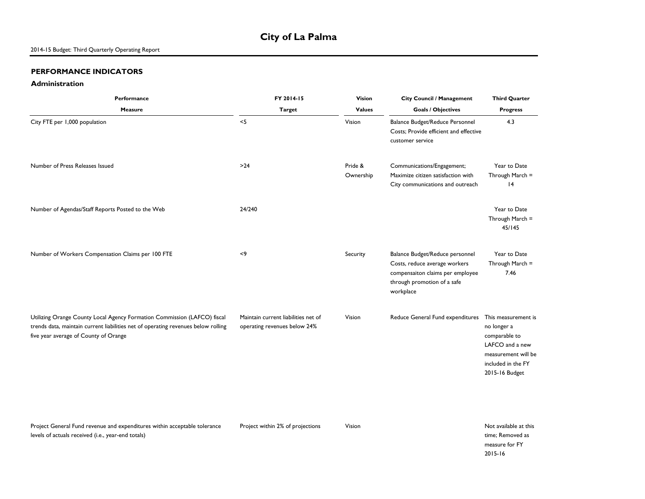#### **PERFORMANCE INDICATORS**

levels of actuals received (i.e., year-end totals)

#### **Administration**

| Performance                                                                                                                                                                                            | FY 2014-15                                                          | Vision               | <b>City Council / Management</b>                                                                                                                 | <b>Third Quarter</b>                                                                                                                  |
|--------------------------------------------------------------------------------------------------------------------------------------------------------------------------------------------------------|---------------------------------------------------------------------|----------------------|--------------------------------------------------------------------------------------------------------------------------------------------------|---------------------------------------------------------------------------------------------------------------------------------------|
| Measure                                                                                                                                                                                                | <b>Target</b>                                                       | <b>Values</b>        | <b>Goals / Objectives</b>                                                                                                                        | <b>Progress</b>                                                                                                                       |
| City FTE per 1,000 population                                                                                                                                                                          | $<$ 5                                                               | Vision               | Balance Budget/Reduce Personnel<br>Costs; Provide efficient and effective<br>customer service                                                    | 4.3                                                                                                                                   |
| Number of Press Releases Issued                                                                                                                                                                        | $>24$                                                               | Pride &<br>Ownership | Communications/Engagement;<br>Maximize citizen satisfaction with<br>City communications and outreach                                             | Year to Date<br>Through March =<br> 4                                                                                                 |
| Number of Agendas/Staff Reports Posted to the Web                                                                                                                                                      | 24/240                                                              |                      |                                                                                                                                                  | Year to Date<br>Through March =<br>45/145                                                                                             |
| Number of Workers Compensation Claims per 100 FTE                                                                                                                                                      | < 9                                                                 | Security             | Balance Budget/Reduce personnel<br>Costs, reduce average workers<br>compensaiton claims per employee<br>through promotion of a safe<br>workplace | Year to Date<br>Through March =<br>7.46                                                                                               |
| Utilizing Orange County Local Agency Formation Commission (LAFCO) fiscal<br>trends data, maintain current liabilities net of operating revenues below rolling<br>five year average of County of Orange | Maintain current liabilities net of<br>operating revenues below 24% | Vision               | Reduce General Fund expenditures                                                                                                                 | This measurement is<br>no longer a<br>comparable to<br>LAFCO and a new<br>measurement will be<br>included in the FY<br>2015-16 Budget |

Project General Fund revenue and expenditures within acceptable tolerance

Project within 2% of projections Vision Vision Not available at this time; Removed as measure for FY 2015-16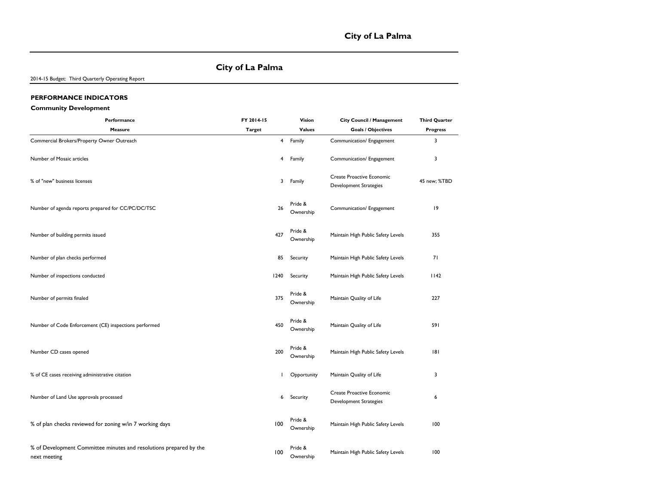#### **City of La Palma**

2014-15 Budget: Third Quarterly Operating Report

#### **PERFORMANCE INDICATORS**

#### **Community Development**

| Performance                                                                        | FY 2014-15    | Vision               | City Council / Management                                  | <b>Third Quarter</b> |
|------------------------------------------------------------------------------------|---------------|----------------------|------------------------------------------------------------|----------------------|
| Measure                                                                            | <b>Target</b> | <b>Values</b>        | <b>Goals / Objectives</b>                                  | <b>Progress</b>      |
| Commercial Brokers/Property Owner Outreach                                         | 4             | Family               | Communication/ Engagement                                  | 3                    |
| Number of Mosaic articles                                                          | 4             | Family               | Communication/ Engagement                                  | 3                    |
| % of "new" business licenses                                                       | 3             | Family               | Create Proactive Economic<br><b>Development Strategies</b> | 45 new; %TBD         |
| Number of agenda reports prepared for CC/PC/DC/TSC                                 | 26            | Pride &<br>Ownership | Communication/ Engagement                                  | 9                    |
| Number of building permits issued                                                  | 427           | Pride &<br>Ownership | Maintain High Public Safety Levels                         | 355                  |
| Number of plan checks performed                                                    | 85            | Security             | Maintain High Public Safety Levels                         | 71                   |
| Number of inspections conducted                                                    | 1240          | Security             | Maintain High Public Safety Levels                         | 1142                 |
| Number of permits finaled                                                          | 375           | Pride &<br>Ownership | Maintain Quality of Life                                   | 227                  |
| Number of Code Enforcement (CE) inspections performed                              | 450           | Pride &<br>Ownership | Maintain Quality of Life                                   | 591                  |
| Number CD cases opened                                                             | 200           | Pride &<br>Ownership | Maintain High Public Safety Levels                         | 8                    |
| % of CE cases receiving administrative citation                                    |               | Opportunity          | Maintain Quality of Life                                   | 3                    |
| Number of Land Use approvals processed                                             | 6             | Security             | Create Proactive Economic<br><b>Development Strategies</b> | 6                    |
| % of plan checks reviewed for zoning w/in 7 working days                           | 100           | Pride &<br>Ownership | Maintain High Public Safety Levels                         | 100                  |
| % of Development Committee minutes and resolutions prepared by the<br>next meeting | 100           | Pride &<br>Ownership | Maintain High Public Safety Levels                         | 100                  |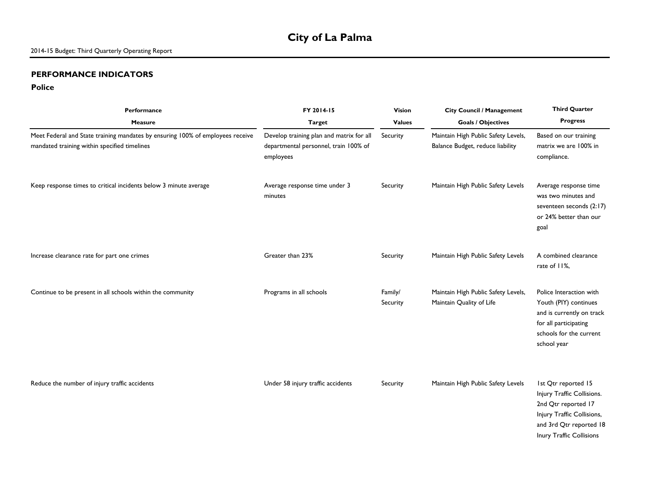## **City of La Palma**

#### **PERFORMANCE INDICATORS**

#### **Police**

| <b>Performance</b>                                                                                                             | FY 2014-15                                                                                     | <b>Vision</b>       | <b>City Council / Management</b>                                        | <b>Third Quarter</b>                                                                                                                                          |
|--------------------------------------------------------------------------------------------------------------------------------|------------------------------------------------------------------------------------------------|---------------------|-------------------------------------------------------------------------|---------------------------------------------------------------------------------------------------------------------------------------------------------------|
| <b>Measure</b>                                                                                                                 | <b>Target</b>                                                                                  | <b>Values</b>       | <b>Goals / Objectives</b>                                               | <b>Progress</b>                                                                                                                                               |
| Meet Federal and State training mandates by ensuring 100% of employees receive<br>mandated training within specified timelines | Develop training plan and matrix for all<br>departmental personnel, train 100% of<br>employees | Security            | Maintain High Public Safety Levels,<br>Balance Budget, reduce liability | Based on our training<br>matrix we are 100% in<br>compliance.                                                                                                 |
| Keep response times to critical incidents below 3 minute average                                                               | Average response time under 3<br>minutes                                                       | Security            | Maintain High Public Safety Levels                                      | Average response time<br>was two minutes and<br>seventeen seconds (2:17)<br>or 24% better than our<br>goal                                                    |
| Increase clearance rate for part one crimes                                                                                    | Greater than 23%                                                                               | Security            | Maintain High Public Safety Levels                                      | A combined clearance<br>rate of 11%,                                                                                                                          |
| Continue to be present in all schools within the community                                                                     | Programs in all schools                                                                        | Family/<br>Security | Maintain High Public Safety Levels,<br>Maintain Quality of Life         | Police Interaction with<br>Youth (PIY) continues<br>and is currently on track<br>for all participating<br>schools for the current<br>school year              |
| Reduce the number of injury traffic accidents                                                                                  | Under 58 injury traffic accidents                                                              | Security            | Maintain High Public Safety Levels                                      | 1st Qtr reported 15<br>Injury Traffic Collisions.<br>2nd Qtr reported 17<br>Injury Traffic Collisions,<br>and 3rd Qtr reported 18<br>Inury Traffic Collisions |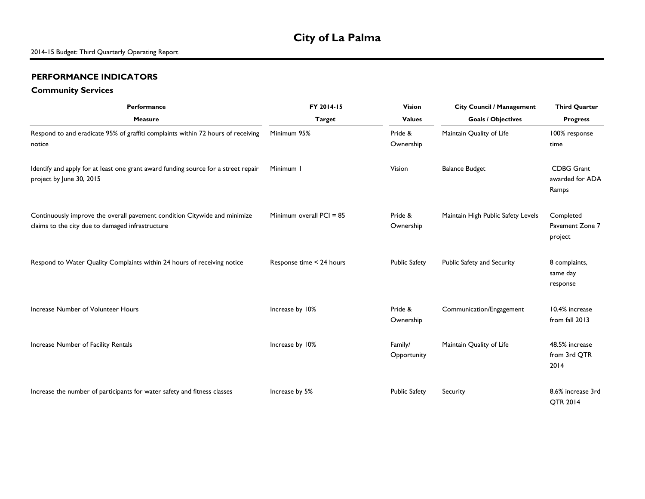## **City of La Palma**

#### **PERFORMANCE INDICATORS**

#### **Community Services**

| Performance                                                                                                                   | FY 2014-15                 | <b>Vision</b>          | <b>City Council / Management</b>   | <b>Third Quarter</b>                          |
|-------------------------------------------------------------------------------------------------------------------------------|----------------------------|------------------------|------------------------------------|-----------------------------------------------|
| <b>Measure</b>                                                                                                                | <b>Target</b>              | <b>Values</b>          | <b>Goals / Objectives</b>          | <b>Progress</b>                               |
| Respond to and eradicate 95% of graffiti complaints within 72 hours of receiving<br>notice                                    | Minimum 95%                | Pride &<br>Ownership   | Maintain Quality of Life           | 100% response<br>time                         |
| Identify and apply for at least one grant award funding source for a street repair<br>project by June 30, 2015                | Minimum I                  | Vision                 | <b>Balance Budget</b>              | <b>CDBG Grant</b><br>awarded for ADA<br>Ramps |
| Continuously improve the overall pavement condition Citywide and minimize<br>claims to the city due to damaged infrastructure | Minimum overall $PCI = 85$ | Pride &<br>Ownership   | Maintain High Public Safety Levels | Completed<br>Pavement Zone 7<br>project       |
| Respond to Water Quality Complaints within 24 hours of receiving notice                                                       | Response time < 24 hours   | <b>Public Safety</b>   | Public Safety and Security         | 8 complaints,<br>same day<br>response         |
| Increase Number of Volunteer Hours                                                                                            | Increase by 10%            | Pride &<br>Ownership   | Communication/Engagement           | 10.4% increase<br>from fall 2013              |
| Increase Number of Facility Rentals                                                                                           | Increase by 10%            | Family/<br>Opportunity | Maintain Quality of Life           | 48.5% increase<br>from 3rd QTR<br>2014        |
| Increase the number of participants for water safety and fitness classes                                                      | Increase by 5%             | <b>Public Safety</b>   | Security                           | 8.6% increase 3rd<br>QTR 2014                 |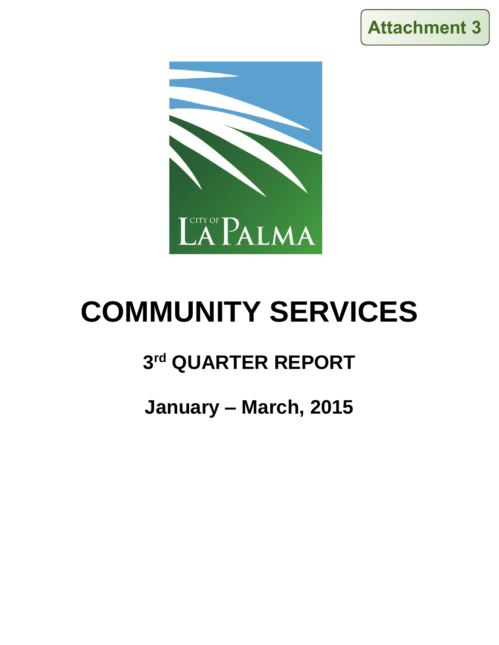



# **COMMUNITY SERVICES**

# **3 rd QUARTER REPORT**

# **January – March, 2015**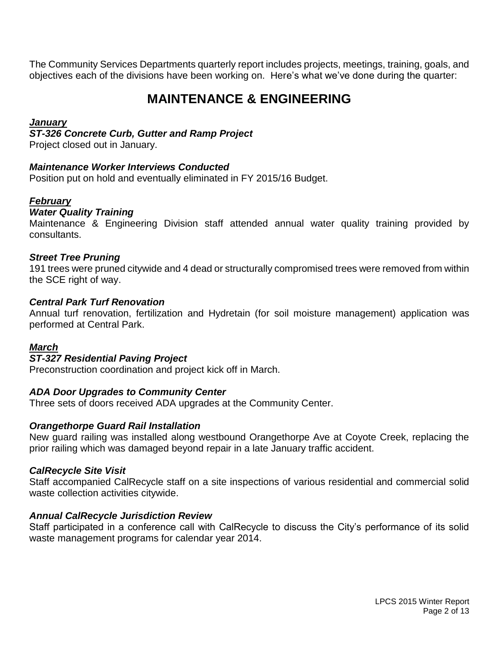The Community Services Departments quarterly report includes projects, meetings, training, goals, and objectives each of the divisions have been working on. Here's what we've done during the quarter:

## **MAINTENANCE & ENGINEERING**

#### *January*

#### *ST-326 Concrete Curb, Gutter and Ramp Project*

Project closed out in January.

#### *Maintenance Worker Interviews Conducted*

Position put on hold and eventually eliminated in FY 2015/16 Budget.

## *February*

#### *Water Quality Training*

Maintenance & Engineering Division staff attended annual water quality training provided by consultants.

#### *Street Tree Pruning*

191 trees were pruned citywide and 4 dead or structurally compromised trees were removed from within the SCE right of way.

#### *Central Park Turf Renovation*

Annual turf renovation, fertilization and Hydretain (for soil moisture management) application was performed at Central Park.

## *March*

#### *ST-327 Residential Paving Project*

Preconstruction coordination and project kick off in March.

## *ADA Door Upgrades to Community Center*

Three sets of doors received ADA upgrades at the Community Center.

#### *Orangethorpe Guard Rail Installation*

New guard railing was installed along westbound Orangethorpe Ave at Coyote Creek, replacing the prior railing which was damaged beyond repair in a late January traffic accident.

#### *CalRecycle Site Visit*

Staff accompanied CalRecycle staff on a site inspections of various residential and commercial solid waste collection activities citywide.

#### *Annual CalRecycle Jurisdiction Review*

Staff participated in a conference call with CalRecycle to discuss the City's performance of its solid waste management programs for calendar year 2014.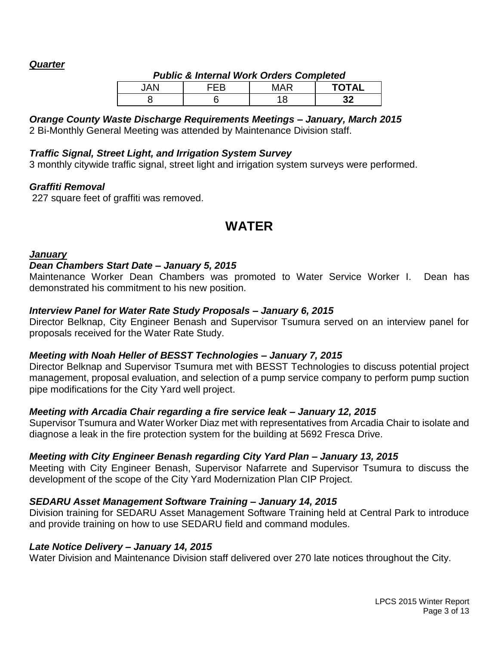#### *Quarter*

| Public & Internal Work Orders Completed |     |     |              |  |
|-----------------------------------------|-----|-----|--------------|--|
| IAN                                     | ᄃᄃB | MAR | <b>TOTAL</b> |  |
|                                         |     |     | າາ           |  |

#### *Public & Internal Work Orders Completed*

## *Orange County Waste Discharge Requirements Meetings – January, March 2015*

2 Bi-Monthly General Meeting was attended by Maintenance Division staff.

#### *Traffic Signal, Street Light, and Irrigation System Survey*

3 monthly citywide traffic signal, street light and irrigation system surveys were performed.

#### *Graffiti Removal*

227 square feet of graffiti was removed.

## **WATER**

#### *January*

#### *Dean Chambers Start Date – January 5, 2015*

Maintenance Worker Dean Chambers was promoted to Water Service Worker I. Dean has demonstrated his commitment to his new position.

#### *Interview Panel for Water Rate Study Proposals – January 6, 2015*

Director Belknap, City Engineer Benash and Supervisor Tsumura served on an interview panel for proposals received for the Water Rate Study.

#### *Meeting with Noah Heller of BESST Technologies – January 7, 2015*

Director Belknap and Supervisor Tsumura met with BESST Technologies to discuss potential project management, proposal evaluation, and selection of a pump service company to perform pump suction pipe modifications for the City Yard well project.

#### *Meeting with Arcadia Chair regarding a fire service leak – January 12, 2015*

Supervisor Tsumura and Water Worker Diaz met with representatives from Arcadia Chair to isolate and diagnose a leak in the fire protection system for the building at 5692 Fresca Drive.

## *Meeting with City Engineer Benash regarding City Yard Plan – January 13, 2015*

Meeting with City Engineer Benash, Supervisor Nafarrete and Supervisor Tsumura to discuss the development of the scope of the City Yard Modernization Plan CIP Project.

## *SEDARU Asset Management Software Training – January 14, 2015*

Division training for SEDARU Asset Management Software Training held at Central Park to introduce and provide training on how to use SEDARU field and command modules.

#### *Late Notice Delivery – January 14, 2015*

Water Division and Maintenance Division staff delivered over 270 late notices throughout the City.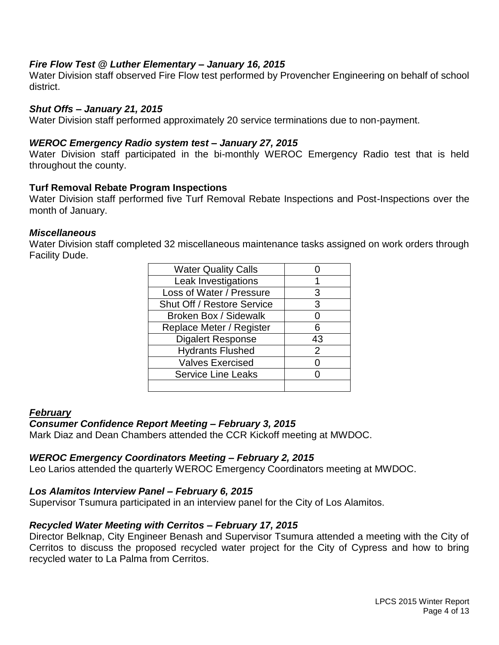#### *Fire Flow Test @ Luther Elementary – January 16, 2015*

Water Division staff observed Fire Flow test performed by Provencher Engineering on behalf of school district.

#### *Shut Offs – January 21, 2015*

Water Division staff performed approximately 20 service terminations due to non-payment.

#### *WEROC Emergency Radio system test – January 27, 2015*

Water Division staff participated in the bi-monthly WEROC Emergency Radio test that is held throughout the county.

#### **Turf Removal Rebate Program Inspections**

Water Division staff performed five Turf Removal Rebate Inspections and Post-Inspections over the month of January.

#### *Miscellaneous*

Water Division staff completed 32 miscellaneous maintenance tasks assigned on work orders through Facility Dude.

| <b>Water Quality Calls</b>        |    |
|-----------------------------------|----|
| Leak Investigations               |    |
| Loss of Water / Pressure          | 3  |
| <b>Shut Off / Restore Service</b> | 3  |
| Broken Box / Sidewalk             | 0  |
| Replace Meter / Register          | 6  |
| <b>Digalert Response</b>          | 43 |
| <b>Hydrants Flushed</b>           | 2  |
| <b>Valves Exercised</b>           |    |
| <b>Service Line Leaks</b>         |    |
|                                   |    |

#### *February*

#### *Consumer Confidence Report Meeting – February 3, 2015*

Mark Diaz and Dean Chambers attended the CCR Kickoff meeting at MWDOC.

#### *WEROC Emergency Coordinators Meeting – February 2, 2015*

Leo Larios attended the quarterly WEROC Emergency Coordinators meeting at MWDOC.

#### *Los Alamitos Interview Panel – February 6, 2015*

Supervisor Tsumura participated in an interview panel for the City of Los Alamitos.

#### *Recycled Water Meeting with Cerritos – February 17, 2015*

Director Belknap, City Engineer Benash and Supervisor Tsumura attended a meeting with the City of Cerritos to discuss the proposed recycled water project for the City of Cypress and how to bring recycled water to La Palma from Cerritos.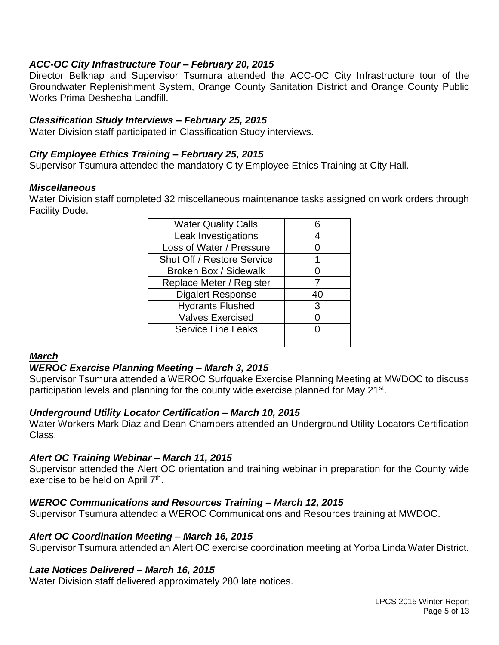#### *ACC-OC City Infrastructure Tour – February 20, 2015*

Director Belknap and Supervisor Tsumura attended the ACC-OC City Infrastructure tour of the Groundwater Replenishment System, Orange County Sanitation District and Orange County Public Works Prima Deshecha Landfill.

#### *Classification Study Interviews – February 25, 2015*

Water Division staff participated in Classification Study interviews.

#### *City Employee Ethics Training – February 25, 2015*

Supervisor Tsumura attended the mandatory City Employee Ethics Training at City Hall.

#### *Miscellaneous*

Water Division staff completed 32 miscellaneous maintenance tasks assigned on work orders through Facility Dude.

| <b>Water Quality Calls</b> |    |
|----------------------------|----|
| Leak Investigations        |    |
| Loss of Water / Pressure   |    |
| Shut Off / Restore Service |    |
| Broken Box / Sidewalk      |    |
| Replace Meter / Register   |    |
| <b>Digalert Response</b>   | 40 |
| <b>Hydrants Flushed</b>    | 3  |
| <b>Valves Exercised</b>    |    |
| <b>Service Line Leaks</b>  |    |
|                            |    |

#### *March*

#### *WEROC Exercise Planning Meeting – March 3, 2015*

Supervisor Tsumura attended a WEROC Surfquake Exercise Planning Meeting at MWDOC to discuss participation levels and planning for the county wide exercise planned for May 21<sup>st</sup>.

#### *Underground Utility Locator Certification – March 10, 2015*

Water Workers Mark Diaz and Dean Chambers attended an Underground Utility Locators Certification Class.

#### *Alert OC Training Webinar – March 11, 2015*

Supervisor attended the Alert OC orientation and training webinar in preparation for the County wide exercise to be held on April 7<sup>th</sup>.

#### *WEROC Communications and Resources Training – March 12, 2015*

Supervisor Tsumura attended a WEROC Communications and Resources training at MWDOC.

#### *Alert OC Coordination Meeting – March 16, 2015*

Supervisor Tsumura attended an Alert OC exercise coordination meeting at Yorba Linda Water District.

#### *Late Notices Delivered – March 16, 2015*

Water Division staff delivered approximately 280 late notices.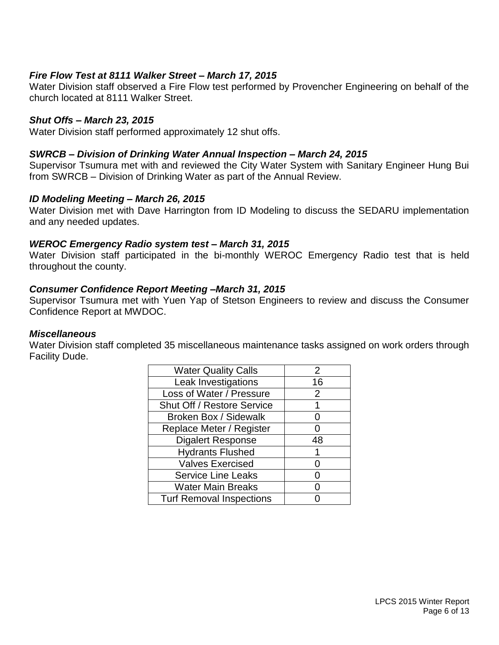#### *Fire Flow Test at 8111 Walker Street – March 17, 2015*

Water Division staff observed a Fire Flow test performed by Provencher Engineering on behalf of the church located at 8111 Walker Street.

#### *Shut Offs – March 23, 2015*

Water Division staff performed approximately 12 shut offs.

#### *SWRCB – Division of Drinking Water Annual Inspection – March 24, 2015*

Supervisor Tsumura met with and reviewed the City Water System with Sanitary Engineer Hung Bui from SWRCB – Division of Drinking Water as part of the Annual Review.

#### *ID Modeling Meeting – March 26, 2015*

Water Division met with Dave Harrington from ID Modeling to discuss the SEDARU implementation and any needed updates.

#### *WEROC Emergency Radio system test – March 31, 2015*

Water Division staff participated in the bi-monthly WEROC Emergency Radio test that is held throughout the county.

#### *Consumer Confidence Report Meeting –March 31, 2015*

Supervisor Tsumura met with Yuen Yap of Stetson Engineers to review and discuss the Consumer Confidence Report at MWDOC.

#### *Miscellaneous*

Water Division staff completed 35 miscellaneous maintenance tasks assigned on work orders through Facility Dude.

| <b>Water Quality Calls</b>      | $\overline{2}$ |
|---------------------------------|----------------|
| Leak Investigations             | 16             |
| Loss of Water / Pressure        | 2              |
| Shut Off / Restore Service      |                |
| <b>Broken Box / Sidewalk</b>    |                |
| Replace Meter / Register        | ( )            |
| <b>Digalert Response</b>        | 48             |
| <b>Hydrants Flushed</b>         | 1              |
| <b>Valves Exercised</b>         |                |
| <b>Service Line Leaks</b>       |                |
| <b>Water Main Breaks</b>        | ( )            |
| <b>Turf Removal Inspections</b> |                |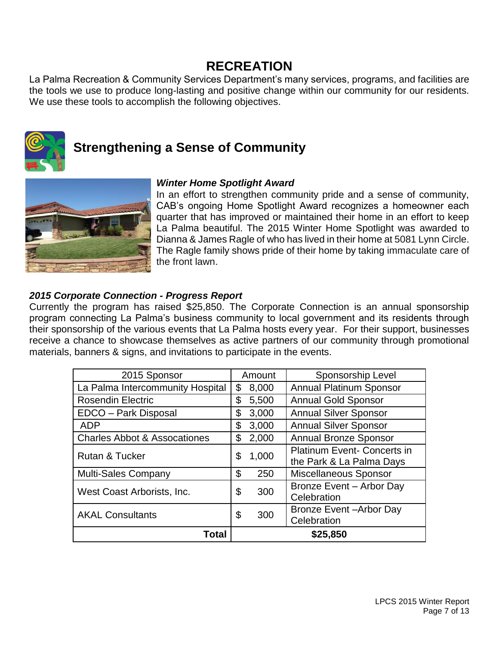## **RECREATION**

La Palma Recreation & Community Services Department's many services, programs, and facilities are the tools we use to produce long-lasting and positive change within our community for our residents. We use these tools to accomplish the following objectives.



# **Strengthening a Sense of Community**



#### *Winter Home Spotlight Award*

In an effort to strengthen community pride and a sense of community, CAB's ongoing Home Spotlight Award recognizes a homeowner each quarter that has improved or maintained their home in an effort to keep La Palma beautiful. The 2015 Winter Home Spotlight was awarded to Dianna & James Ragle of who has lived in their home at 5081 Lynn Circle. The Ragle family shows pride of their home by taking immaculate care of the front lawn.

#### *2015 Corporate Connection - Progress Report*

Currently the program has raised \$25,850. The Corporate Connection is an annual sponsorship program connecting La Palma's business community to local government and its residents through their sponsorship of the various events that La Palma hosts every year. For their support, businesses receive a chance to showcase themselves as active partners of our community through promotional materials, banners & signs, and invitations to participate in the events.

| 2015 Sponsor                            |           | Amount | Sponsorship Level                  |
|-----------------------------------------|-----------|--------|------------------------------------|
| La Palma Intercommunity Hospital        | \$        | 8,000  | <b>Annual Platinum Sponsor</b>     |
| <b>Rosendin Electric</b>                | \$        | 5,500  | <b>Annual Gold Sponsor</b>         |
| EDCO - Park Disposal                    | \$        | 3,000  | <b>Annual Silver Sponsor</b>       |
| <b>ADP</b>                              | \$        | 3,000  | <b>Annual Silver Sponsor</b>       |
| <b>Charles Abbot &amp; Assocationes</b> | \$        | 2,000  | <b>Annual Bronze Sponsor</b>       |
| Rutan & Tucker                          | \$        | 1,000  | <b>Platinum Event- Concerts in</b> |
|                                         |           |        | the Park & La Palma Days           |
| <b>Multi-Sales Company</b>              | \$        | 250    | Miscellaneous Sponsor              |
| West Coast Arborists, Inc.              | \$        | 300    | Bronze Event - Arbor Day           |
|                                         |           |        | Celebration                        |
| <b>AKAL Consultants</b>                 | \$<br>300 |        | <b>Bronze Event-Arbor Day</b>      |
|                                         |           |        | Celebration                        |
| Total                                   |           |        | \$25,850                           |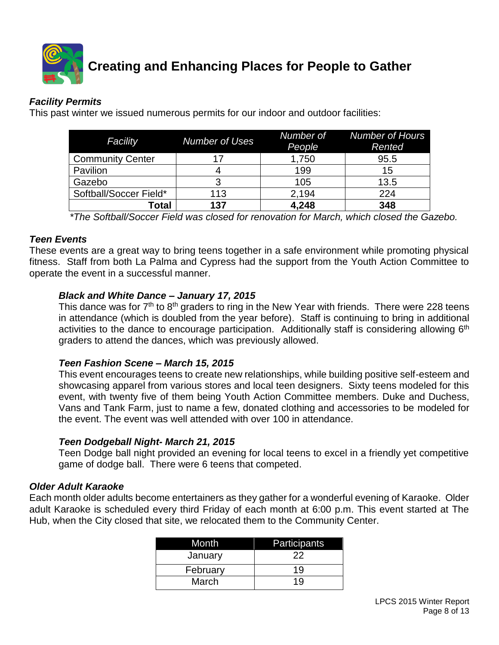

## *Facility Permits*

This past winter we issued numerous permits for our indoor and outdoor facilities:

| Facility                | <b>Number of Uses</b> | People | Number of Number of Hours<br>Rented |
|-------------------------|-----------------------|--------|-------------------------------------|
| <b>Community Center</b> |                       | 1,750  | 95.5                                |
| Pavilion                |                       | 199    | 15                                  |
| Gazebo                  |                       | 105    | 13.5                                |
| Softball/Soccer Field*  | 113                   | 2.194  | 224                                 |
| Гоtal                   | 137                   | 4,248  | 348                                 |

*\*The Softball/Soccer Field was closed for renovation for March, which closed the Gazebo.*

#### *Teen Events*

These events are a great way to bring teens together in a safe environment while promoting physical fitness. Staff from both La Palma and Cypress had the support from the Youth Action Committee to operate the event in a successful manner.

#### *Black and White Dance – January 17, 2015*

This dance was for  $7<sup>th</sup>$  to  $8<sup>th</sup>$  graders to ring in the New Year with friends. There were 228 teens in attendance (which is doubled from the year before). Staff is continuing to bring in additional activities to the dance to encourage participation. Additionally staff is considering allowing 6<sup>th</sup> graders to attend the dances, which was previously allowed.

#### *Teen Fashion Scene – March 15, 2015*

This event encourages teens to create new relationships, while building positive self-esteem and showcasing apparel from various stores and local teen designers. Sixty teens modeled for this event, with twenty five of them being Youth Action Committee members. Duke and Duchess, Vans and Tank Farm, just to name a few, donated clothing and accessories to be modeled for the event. The event was well attended with over 100 in attendance.

## *Teen Dodgeball Night- March 21, 2015*

Teen Dodge ball night provided an evening for local teens to excel in a friendly yet competitive game of dodge ball. There were 6 teens that competed.

#### *Older Adult Karaoke*

Each month older adults become entertainers as they gather for a wonderful evening of Karaoke. Older adult Karaoke is scheduled every third Friday of each month at 6:00 p.m. This event started at The Hub, when the City closed that site, we relocated them to the Community Center.

| Month    | Participants |
|----------|--------------|
| January  | 22           |
| February | 19           |
| March    | 19           |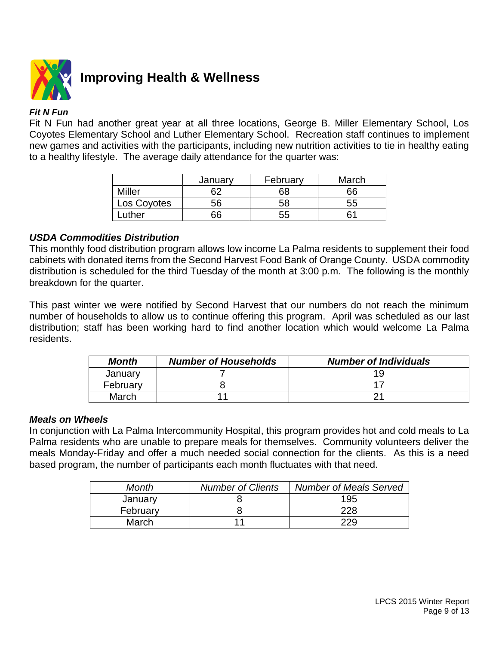

# **Improving Health & Wellness**

#### *Fit N Fun*

Fit N Fun had another great year at all three locations, George B. Miller Elementary School, Los Coyotes Elementary School and Luther Elementary School. Recreation staff continues to implement new games and activities with the participants, including new nutrition activities to tie in healthy eating to a healthy lifestyle. The average daily attendance for the quarter was:

|               | January | February | March |
|---------------|---------|----------|-------|
| <b>Miller</b> | 62      | 68       | 66    |
| Los Coyotes   | 56      | 58       | 55    |
| uther         | 66      | 55       | 61    |

#### *USDA Commodities Distribution*

This monthly food distribution program allows low income La Palma residents to supplement their food cabinets with donated items from the Second Harvest Food Bank of Orange County. USDA commodity distribution is scheduled for the third Tuesday of the month at 3:00 p.m. The following is the monthly breakdown for the quarter.

This past winter we were notified by Second Harvest that our numbers do not reach the minimum number of households to allow us to continue offering this program. April was scheduled as our last distribution; staff has been working hard to find another location which would welcome La Palma residents.

| <b>Month</b> | <b>Number of Households</b> | <b>Number of Individuals</b> |
|--------------|-----------------------------|------------------------------|
| Januarv      |                             |                              |
| February     |                             |                              |
| March        |                             |                              |

#### *Meals on Wheels*

In conjunction with La Palma Intercommunity Hospital, this program provides hot and cold meals to La Palma residents who are unable to prepare meals for themselves. Community volunteers deliver the meals Monday-Friday and offer a much needed social connection for the clients. As this is a need based program, the number of participants each month fluctuates with that need.

| Month    | <b>Number of Clients</b> | <b>Number of Meals Served</b> |
|----------|--------------------------|-------------------------------|
| January  |                          | 195                           |
| February |                          | 228                           |
| March    |                          | 229                           |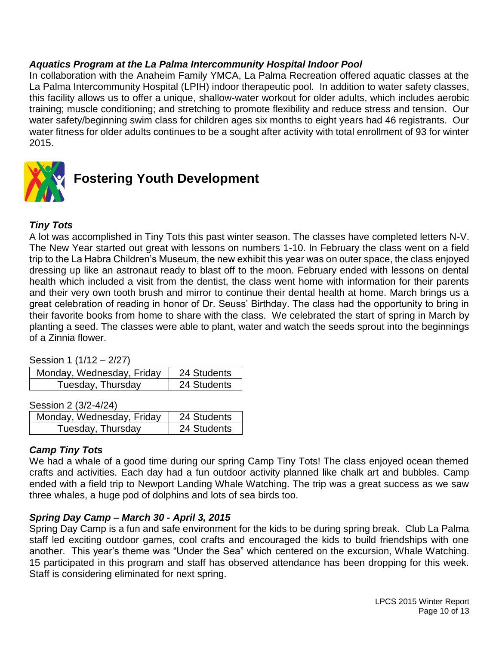#### *Aquatics Program at the La Palma Intercommunity Hospital Indoor Pool*

In collaboration with the Anaheim Family YMCA, La Palma Recreation offered aquatic classes at the La Palma Intercommunity Hospital (LPIH) indoor therapeutic pool. In addition to water safety classes, this facility allows us to offer a unique, shallow-water workout for older adults, which includes aerobic training; muscle conditioning; and stretching to promote flexibility and reduce stress and tension. Our water safety/beginning swim class for children ages six months to eight years had 46 registrants. Our water fitness for older adults continues to be a sought after activity with total enrollment of 93 for winter 2015.



# **Fostering Youth Development**

## *Tiny Tots*

A lot was accomplished in Tiny Tots this past winter season. The classes have completed letters N-V. The New Year started out great with lessons on numbers 1-10. In February the class went on a field trip to the La Habra Children's Museum, the new exhibit this year was on outer space, the class enjoyed dressing up like an astronaut ready to blast off to the moon. February ended with lessons on dental health which included a visit from the dentist, the class went home with information for their parents and their very own tooth brush and mirror to continue their dental health at home. March brings us a great celebration of reading in honor of Dr. Seuss' Birthday. The class had the opportunity to bring in their favorite books from home to share with the class. We celebrated the start of spring in March by planting a seed. The classes were able to plant, water and watch the seeds sprout into the beginnings of a Zinnia flower.

Session 1 (1/12 – 2/27)

| Monday, Wednesday, Friday | 24 Students |
|---------------------------|-------------|
| Tuesday, Thursday         | 24 Students |

Session 2 (3/2-4/24)

| Monday, Wednesday, Friday | 24 Students |
|---------------------------|-------------|
| Tuesday, Thursday         | 24 Students |

## *Camp Tiny Tots*

We had a whale of a good time during our spring Camp Tiny Tots! The class enjoyed ocean themed crafts and activities. Each day had a fun outdoor activity planned like chalk art and bubbles. Camp ended with a field trip to Newport Landing Whale Watching. The trip was a great success as we saw three whales, a huge pod of dolphins and lots of sea birds too.

#### *Spring Day Camp – March 30 - April 3, 2015*

Spring Day Camp is a fun and safe environment for the kids to be during spring break. Club La Palma staff led exciting outdoor games, cool crafts and encouraged the kids to build friendships with one another. This year's theme was "Under the Sea" which centered on the excursion, Whale Watching. 15 participated in this program and staff has observed attendance has been dropping for this week. Staff is considering eliminated for next spring.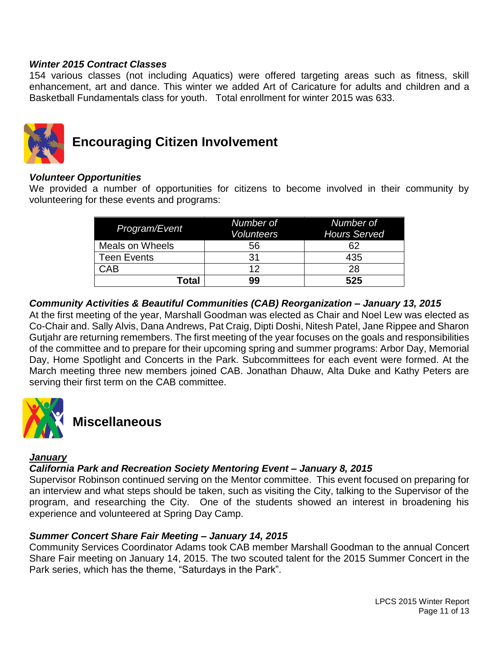#### *Winter 2015 Contract Classes*

154 various classes (not including Aquatics) were offered targeting areas such as fitness, skill enhancement, art and dance. This winter we added Art of Caricature for adults and children and a Basketball Fundamentals class for youth. Total enrollment for winter 2015 was 633.



# **Encouraging Citizen Involvement**

#### *Volunteer Opportunities*

We provided a number of opportunities for citizens to become involved in their community by volunteering for these events and programs:

| Program/Event      | Number of<br><b>Volunteers</b> | Number of<br><b>Hours Served</b> |
|--------------------|--------------------------------|----------------------------------|
| Meals on Wheels    | 56                             | 62                               |
| <b>Teen Events</b> | 31                             | 435                              |
| <b>CAB</b>         | 12                             | 28                               |
| <b>Total</b>       | 99                             | 525                              |

#### *Community Activities & Beautiful Communities (CAB) Reorganization – January 13, 2015*

At the first meeting of the year, Marshall Goodman was elected as Chair and Noel Lew was elected as Co-Chair and. Sally Alvis, Dana Andrews, Pat Craig, Dipti Doshi, Nitesh Patel, Jane Rippee and Sharon Gutjahr are returning remembers. The first meeting of the year focuses on the goals and responsibilities of the committee and to prepare for their upcoming spring and summer programs: Arbor Day, Memorial Day, Home Spotlight and Concerts in the Park. Subcommittees for each event were formed. At the March meeting three new members joined CAB. Jonathan Dhauw, Alta Duke and Kathy Peters are serving their first term on the CAB committee.



# **Miscellaneous**

#### *January*

#### *California Park and Recreation Society Mentoring Event – January 8, 2015*

Supervisor Robinson continued serving on the Mentor committee. This event focused on preparing for an interview and what steps should be taken, such as visiting the City, talking to the Supervisor of the program, and researching the City. One of the students showed an interest in broadening his experience and volunteered at Spring Day Camp.

#### *Summer Concert Share Fair Meeting – January 14, 2015*

Community Services Coordinator Adams took CAB member Marshall Goodman to the annual Concert Share Fair meeting on January 14, 2015. The two scouted talent for the 2015 Summer Concert in the Park series, which has the theme, "Saturdays in the Park".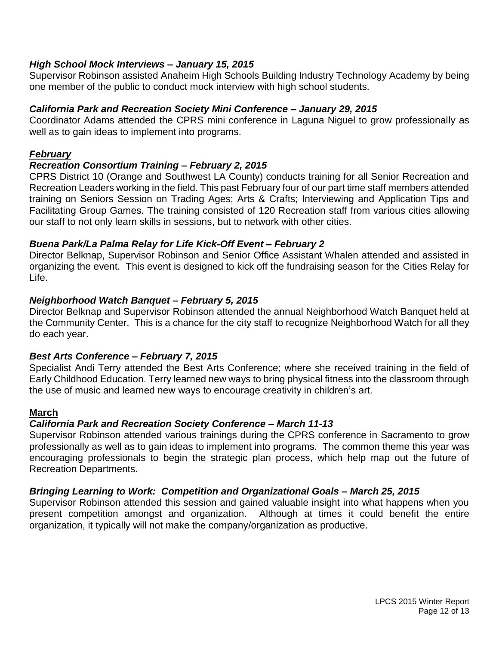#### *High School Mock Interviews – January 15, 2015*

Supervisor Robinson assisted Anaheim High Schools Building Industry Technology Academy by being one member of the public to conduct mock interview with high school students.

#### *California Park and Recreation Society Mini Conference – January 29, 2015*

Coordinator Adams attended the CPRS mini conference in Laguna Niguel to grow professionally as well as to gain ideas to implement into programs.

#### *February*

#### *Recreation Consortium Training – February 2, 2015*

CPRS District 10 (Orange and Southwest LA County) conducts training for all Senior Recreation and Recreation Leaders working in the field. This past February four of our part time staff members attended training on Seniors Session on Trading Ages; Arts & Crafts; Interviewing and Application Tips and Facilitating Group Games. The training consisted of 120 Recreation staff from various cities allowing our staff to not only learn skills in sessions, but to network with other cities.

#### *Buena Park/La Palma Relay for Life Kick-Off Event – February 2*

Director Belknap, Supervisor Robinson and Senior Office Assistant Whalen attended and assisted in organizing the event. This event is designed to kick off the fundraising season for the Cities Relay for Life.

#### *Neighborhood Watch Banquet – February 5, 2015*

Director Belknap and Supervisor Robinson attended the annual Neighborhood Watch Banquet held at the Community Center. This is a chance for the city staff to recognize Neighborhood Watch for all they do each year.

## *Best Arts Conference – February 7, 2015*

Specialist Andi Terry attended the Best Arts Conference; where she received training in the field of Early Childhood Education. Terry learned new ways to bring physical fitness into the classroom through the use of music and learned new ways to encourage creativity in children's art.

#### **March**

## *California Park and Recreation Society Conference – March 11-13*

Supervisor Robinson attended various trainings during the CPRS conference in Sacramento to grow professionally as well as to gain ideas to implement into programs. The common theme this year was encouraging professionals to begin the strategic plan process, which help map out the future of Recreation Departments.

#### *Bringing Learning to Work: Competition and Organizational Goals – March 25, 2015*

Supervisor Robinson attended this session and gained valuable insight into what happens when you present competition amongst and organization. Although at times it could benefit the entire organization, it typically will not make the company/organization as productive.